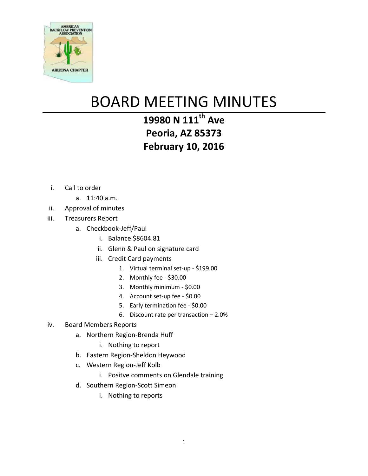

## BOARD MEETING MINUTES

## **19980 N 111th Ave Peoria, AZ 85373 February 10, 2016**

- i. Call to order
	- a. 11:40 a.m.
- ii. Approval of minutes
- iii. Treasurers Report
	- a. Checkbook-Jeff/Paul
		- i. Balance \$8604.81
		- ii. Glenn & Paul on signature card
		- iii. Credit Card payments
			- 1. Virtual terminal set-up \$199.00
			- 2. Monthly fee \$30.00
			- 3. Monthly minimum \$0.00
			- 4. Account set-up fee \$0.00
			- 5. Early termination fee \$0.00
			- 6. Discount rate per transaction 2.0%

## iv. Board Members Reports

- a. Northern Region-Brenda Huff
	- i. Nothing to report
- b. Eastern Region-Sheldon Heywood
- c. Western Region-Jeff Kolb
	- i. Positve comments on Glendale training
- d. Southern Region-Scott Simeon
	- i. Nothing to reports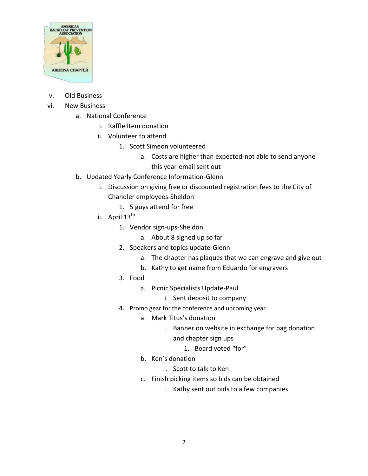

- v. Old Business
- vi. New Business
	- a. National Conference
		- i. Raffle Item donation
		- ii. Volunteer to attend
			- 1. Scott Simeon volunteered
				- a. Costs are higher than expected-not able to send anyone this year-email sent out
	- b. Updated Yearly Conference Information-Glenn
		- i. Discussion on giving free or discounted registration fees to the City of Chandler employees-Sheldon
			- 1. 5 guys attend for free
		- ii. April  $13^{\text{th}}$ 
			- 1. Vendor sign-ups-Sheldon
				- a. About 8 signed up so far
			- 2. Speakers and topics update-Glenn
				- a. The chapter has plaques that we can engrave and give out
				- b. Kathy to get name from Eduardo for engravers
			- 3. Food
				- a. Picnic Specialists Update-Paul
					- i. Sent deposit to company
			- 4. Promo gear for the conference and upcoming year
				- a. Mark Titus's donation
					- i. Banner on website in exchange for bag donation and chapter sign ups
						- 1. Board voted "for"
				- b. Ken's donation
					- i. Scott to talk to Ken
				- c. Finish picking items so bids can be obtained
					- i. Kathy sent out bids to a few companies